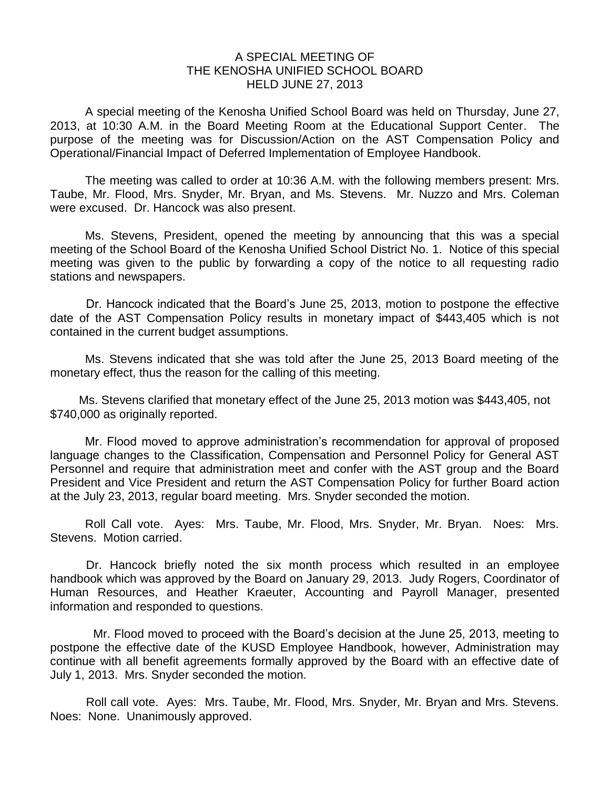## A SPECIAL MEETING OF THE KENOSHA UNIFIED SCHOOL BOARD HELD JUNE 27, 2013

A special meeting of the Kenosha Unified School Board was held on Thursday, June 27, 2013, at 10:30 A.M. in the Board Meeting Room at the Educational Support Center. The purpose of the meeting was for Discussion/Action on the AST Compensation Policy and Operational/Financial Impact of Deferred Implementation of Employee Handbook.

The meeting was called to order at 10:36 A.M. with the following members present: Mrs. Taube, Mr. Flood, Mrs. Snyder, Mr. Bryan, and Ms. Stevens. Mr. Nuzzo and Mrs. Coleman were excused. Dr. Hancock was also present.

Ms. Stevens, President, opened the meeting by announcing that this was a special meeting of the School Board of the Kenosha Unified School District No. 1. Notice of this special meeting was given to the public by forwarding a copy of the notice to all requesting radio stations and newspapers.

Dr. Hancock indicated that the Board's June 25, 2013, motion to postpone the effective date of the AST Compensation Policy results in monetary impact of \$443,405 which is not contained in the current budget assumptions.

Ms. Stevens indicated that she was told after the June 25, 2013 Board meeting of the monetary effect, thus the reason for the calling of this meeting.

Ms. Stevens clarified that monetary effect of the June 25, 2013 motion was \$443,405, not \$740,000 as originally reported.

 Mr. Flood moved to approve administration's recommendation for approval of proposed language changes to the Classification, Compensation and Personnel Policy for General AST Personnel and require that administration meet and confer with the AST group and the Board President and Vice President and return the AST Compensation Policy for further Board action at the July 23, 2013, regular board meeting. Mrs. Snyder seconded the motion.

Roll Call vote. Ayes: Mrs. Taube, Mr. Flood, Mrs. Snyder, Mr. Bryan. Noes: Mrs. Stevens. Motion carried.

Dr. Hancock briefly noted the six month process which resulted in an employee handbook which was approved by the Board on January 29, 2013. Judy Rogers, Coordinator of Human Resources, and Heather Kraeuter, Accounting and Payroll Manager, presented information and responded to questions.

Mr. Flood moved to proceed with the Board's decision at the June 25, 2013, meeting to postpone the effective date of the KUSD Employee Handbook, however, Administration may continue with all benefit agreements formally approved by the Board with an effective date of July 1, 2013. Mrs. Snyder seconded the motion.

Roll call vote. Ayes: Mrs. Taube, Mr. Flood, Mrs. Snyder, Mr. Bryan and Mrs. Stevens. Noes: None. Unanimously approved.